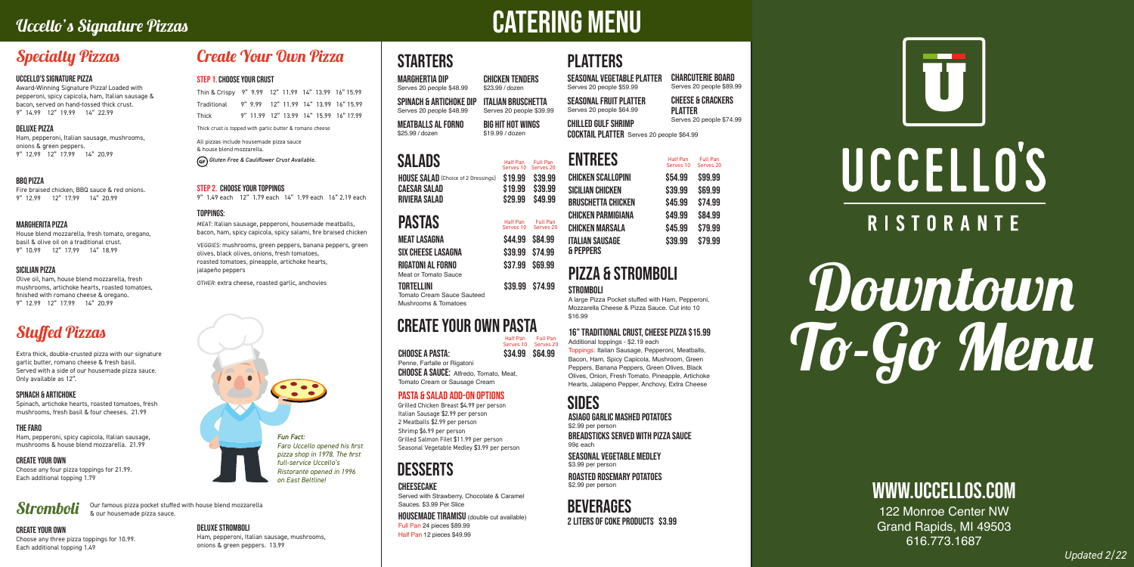# Uccello's Signature Pizzas CATERING MENU

# Downtown To-Go Menu

# www.uccellos.com

122 Monroe Center NW Grand Rapids, MI 49503 616.773.1687

*Updated 2/22*

Thin & Crispy 9" 9.99 12" 11.99 14" 13.99 16" 15.99 Traditional 9" 9.99 12" 11.99 14" 13.99 16" 15.99 Thick 9" 11.99 12" 13.99 14" 15.99 16" 17.99

Thick crust is topped with garlic butter & romano cheese

All pizzas include housemade pizza sauce & house blend mozzarella.  *Gluten Free & Cauliflower Crust Available.* 

#### STEP 2. chOOSE YOUR TOPPINGS

9" 1.49 each 12" 1.79 each 14" 1.99 each 16" 2.19 each

#### Toppings:

MEAT: Italian sausage, pepperoni, housemade meatballs, bacon, ham, spicy capicola, spicy salami, fire braised chicken

VEGGIES: mushrooms, green peppers, banana peppers, green olives, black olives, onions, fresh tomatoes, roasted tomatoes, pineapple, artichoke hearts, jalapeño peppers

OTHER: extra cheese, roasted garlic, anchovies



## Create Your Own Pizza

#### STEP 1. CHOOSE YOUR CRUST

## Stromboli

#### CREATE YOUR OWN

Choose any three pizza toppings for 10.99. Each additional topping 1.49

DELUXE STROMBOLI

Ham, pepperoni, Italian sausage, mushrooms,

onions & green peppers. 13.99

Our famous pizza pocket stuffed with house blend mozzarella & our housemade pizza sauce.

#### UCCELLO'S SIGNATURE PIZZA

Award-Winning Signature Pizza! Loaded with pepperoni, spicy capicola, ham, Italian sausage & bacon, served on hand-tossed thick crust. 9" 14.99 12" 19.99 14" 22.99

#### DELUXE PIZZA

Ham, pepperoni, Italian sausage, mushrooms, onions & green peppers. 9" 12.99 12" 17.99 14" 20.99

#### BBQ PIZZA

Fire braised chicken, BBQ sauce & red onions. 9" 12.99 12" 17.99 14" 20.99

> CHOOSE A SAUCE: Alfredo, Tomato, Meat. Tomato Cream or Sausage Cream

# Specialty Pizzas

## Stuffed Pizzas

Extra thick, double-crusted pizza with our signature garlic butter, romano cheese & fresh basil. Served with a side of our housemade pizza sauce. Only available as 12".

#### SPINACH & ARTICHOKE

Spinach, artichoke hearts, roasted tomatoes, fresh mushrooms, fresh basil & four cheeses. 21.99

#### THE FARO

Ham, pepperoni, spicy capicola, Italian sausage, mushrooms & house blend mozzarella. 21.99

#### CREATE YOUR OWN

Choose any four pizza toppings for 21.99. Each additional topping 1.79

#### MARGHERITA PIZZA

House blend mozzarella, fresh tomato, oregano, basil & olive oil on a traditional crust. 9" 10.99 12" 17.99 14" 18.99

#### SICILIAN PIZZA

Olive oil, ham, house blend mozzarella, fresh mushrooms, artichoke hearts, roasted tomatoes, finished with romano cheese & oregano. 9" 12.99 12" 17.99 14" 20.99



# **STARTERS**

Tomato Cream Sauce Sauteed Mushrooms & Tomatoes

CHOOSE A PASTA: \$34.99 \$64.99 Penne, Farfalle or Rigatoni

## create your own pastA

Half Pan Full Pan<br>Serves 10 Serves 20

#### Pasta & salad Add-On Options

Grilled Chicken Breast \$4.99 per person Italian Sausage \$2.99 per person 2 Meatballs \$2.99 per person Shrimp \$6.99 per person Grilled Salmon Filet \$11.99 per person Seasonal Vegetable Medley \$3.99 per person

# **DESSERTS**

#### **CHEESECAKE**

| <b>RIVIERA SALAD</b>                             |                 | \$29.99 \$49.99                          |
|--------------------------------------------------|-----------------|------------------------------------------|
| <b>PASTAS</b>                                    |                 | Half Pan Full Pan<br>Serves 10 Serves 20 |
| MEAT LASAGNA                                     | \$44.99 \$84.99 |                                          |
| <b>SIX CHEESE LASAGNA</b>                        | \$39.99 \$74.99 |                                          |
| <b>RIGATONI AL FORNO</b><br>Meat or Tomato Sauce | \$37.99 \$69.99 |                                          |
| <b>TORTELLINI</b>                                |                 | \$39.99 \$74.99                          |

seasonal vegetable platter Serves 20 people \$59.99

Seasonal fruit platter Serves 20 people \$64.99

marghertia dip Serves 20 people \$48.99 chicken tenders \$23.99 / dozen

spinach & artichoke dip Serves 20 people \$48.99 italian bruschetta Serves 20 people \$39.99





# UCCELLO'S **RISTORANTE**

Meatballs Al forno \$25.99 / dozen big hit hot wings \$19.99 / dozen

> A large Pizza Pocket stuffed with Ham, Pepperoni, Mozzarella Cheese & Pizza Sauce. Cut into 10 \$16.99

## 16" Traditional crust, cheese pizza \$15.99

## pizza & Stromboli

| SALADS                                     |                 | Half Pan Full Pan<br>Serves 10 Serves 20 |
|--------------------------------------------|-----------------|------------------------------------------|
| <b>HOUSE SALAD</b> (Choice of 2 Dressings) | \$19.99 \$39.99 |                                          |
| <b>CAESAR SALAD</b>                        | \$19.99 \$39.99 |                                          |

asiago Garlic mashed potatoes \$2.99 per person

breadsticks served with pizza sauce 99¢ each

seasonal vegetable Medley \$3.99 per person

chilled gulf shrimp Serves 20 people \$74.99

Roasted rosemary potatoes \$2.99 per person

# **BEVERAGES**

2 liters of coke products \$3.99

Served with Strawberry, Chocolate & Caramel Sauces. \$3.99 Per Slice

housemade tiramisu (double cut available) Full Pan 24 pieces \$89.99 Half Pan 12 pieces \$49.99

**PLATTERS** 

| UNILLED UULI UNINI |                                                  |  |  |
|--------------------|--------------------------------------------------|--|--|
|                    | <b>COCKTAIL PLATTER</b> Serves 20 people \$64.99 |  |  |



Additional toppings - \$2.19 each Toppings: Italian Sausage, Pepperoni, Meatballs, Bacon, Ham, Spicy Capicola, Mushroom, Green Peppers, Banana Peppers, Green Olives, Black Olives, Onion, Fresh Tomato, Pineapple, Artichoke Hearts, Jalapeno Pepper, Anchovy, Extra Cheese

## **SIDES**

CHArcuterie board Serves 20 people \$89.99

cheese & Crackers platter

| <b>ENTREES</b>     | Half Pan<br>Serves 10 | Full Pan<br>Serves <sub>20</sub> |
|--------------------|-----------------------|----------------------------------|
| CHICKEN SCALLOPINI | \$54.99               | \$99.99                          |
| Sicilian Chicken   | \$39.99               | <b>\$69.99</b>                   |
| BRUSCHETTA CHICKEN | \$45.99               | \$74.99                          |
| CHICKEN PARMIGIANA | \$49.99               | \$84.99                          |
| CHICKEN MARSALA    | \$45.99               | \$79.99                          |
| ITALIAN SAUSAGE    | \$39.99               | \$79.99                          |

# & Peppers